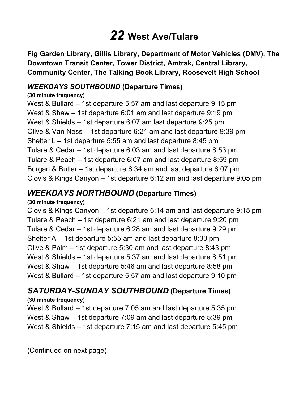# *22* **West Ave/Tulare**

 **Fig Garden Library, Gillis Library, Department of Motor Vehicles (DMV), The Downtown Transit Center, Tower District, Amtrak, Central Library, Community Center, The Talking Book Library, Roosevelt High School** 

## *WEEKDAYS SOUTHBOUND* **(Departure Times)**

#### **(30 minute frequency)**

 West & Bullard – 1st departure 5:57 am and last departure 9:15 pm West & Shaw – 1st departure 6:01 am and last departure 9:19 pm West & Shields – 1st departure 6:07 am last departure 9:25 pm Olive & Van Ness – 1st departure 6:21 am and last departure 9:39 pm Shelter L – 1st departure 5:55 am and last departure 8:45 pm Tulare & Cedar – 1st departure 6:03 am and last departure 8:53 pm Tulare & Peach – 1st departure 6:07 am and last departure 8:59 pm Burgan & Butler – 1st departure 6:34 am and last departure 6:07 pm Clovis & Kings Canyon – 1st departure 6:12 am and last departure 9:05 pm

# *WEEKDAYS NORTHBOUND* **(Departure Times)**

### **(30 minute frequency)**

 Clovis & Kings Canyon – 1st departure 6:14 am and last departure 9:15 pm Tulare & Peach – 1st departure 6:21 am and last departure 9:20 pm Tulare & Cedar – 1st departure 6:28 am and last departure 9:29 pm Shelter A – 1st departure 5:55 am and last departure 8:33 pm Olive & Palm – 1st departure 5:30 am and last departure 8:43 pm West & Shields – 1st departure 5:37 am and last departure 8:51 pm West & Shaw – 1st departure 5:46 am and last departure 8:58 pm West & Bullard – 1st departure 5:57 am and last departure 9:10 pm

# *SATURDAY-SUNDAY SOUTHBOUND* **(Departure Times)**

## **(30 minute frequency)**

 West & Bullard – 1st departure 7:05 am and last departure 5:35 pm West & Shaw – 1st departure 7:09 am and last departure 5:39 pm West & Shields – 1st departure 7:15 am and last departure 5:45 pm

(Continued on next page)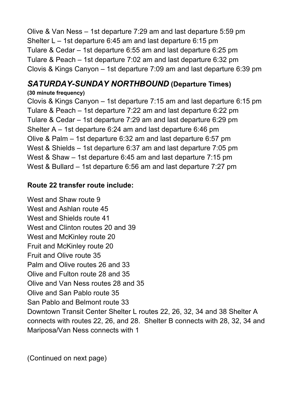Olive & Van Ness – 1st departure 7:29 am and last departure 5:59 pm Shelter L – 1st departure 6:45 am and last departure 6:15 pm Tulare & Cedar – 1st departure 6:55 am and last departure 6:25 pm Tulare & Peach – 1st departure 7:02 am and last departure 6:32 pm Clovis & Kings Canyon – 1st departure 7:09 am and last departure 6:39 pm

# *SATURDAY-SUNDAY NORTHBOUND* **(Departure Times)**

## **(30 minute frequency)**

 Clovis & Kings Canyon – 1st departure 7:15 am and last departure 6:15 pm Tulare & Peach – 1st departure 7:22 am and last departure 6:22 pm Tulare & Cedar – 1st departure 7:29 am and last departure 6:29 pm Shelter A – 1st departure 6:24 am and last departure 6:46 pm Olive & Palm – 1st departure 6:32 am and last departure 6:57 pm West & Shields – 1st departure 6:37 am and last departure 7:05 pm West & Shaw – 1st departure 6:45 am and last departure 7:15 pm West & Bullard – 1st departure 6:56 am and last departure 7:27 pm

## **Route 22 transfer route include:**

 West and Shaw route 9 West and Ashlan route 45 West and Shields route 41 West and Clinton routes 20 and 39 West and McKinley route 20 Palm and Olive routes 26 and 33 Olive and Van Ness routes 28 and 35 Olive and San Pablo route 35 San Pablo and Belmont route 33 Downtown Transit Center Shelter L routes 22, 26, 32, 34 and 38 Shelter A connects with routes 22, 26, and 28. Shelter B connects with 28, 32, 34 and Mariposa/Van Ness connects with 1 Fruit and McKinley route 20 Fruit and Olive route 35 Olive and Fulton route 28 and 35

(Continued on next page)